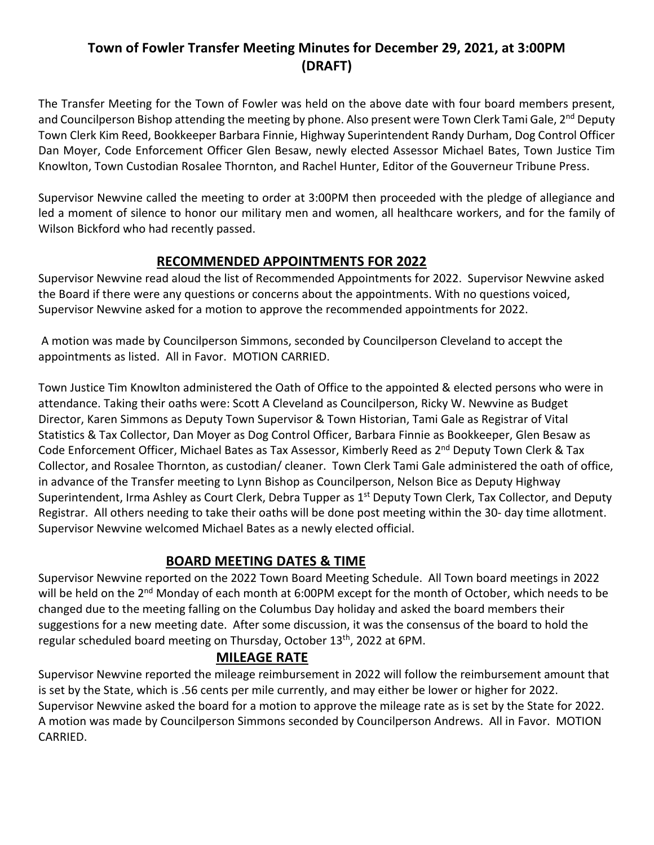## **Town of Fowler Transfer Meeting Minutes for December 29, 2021, at 3:00PM (DRAFT)**

The Transfer Meeting for the Town of Fowler was held on the above date with four board members present, and Councilperson Bishop attending the meeting by phone. Also present were Town Clerk Tami Gale, 2<sup>nd</sup> Deputy Town Clerk Kim Reed, Bookkeeper Barbara Finnie, Highway Superintendent Randy Durham, Dog Control Officer Dan Moyer, Code Enforcement Officer Glen Besaw, newly elected Assessor Michael Bates, Town Justice Tim Knowlton, Town Custodian Rosalee Thornton, and Rachel Hunter, Editor of the Gouverneur Tribune Press.

Supervisor Newvine called the meeting to order at 3:00PM then proceeded with the pledge of allegiance and led a moment of silence to honor our military men and women, all healthcare workers, and for the family of Wilson Bickford who had recently passed.

### **RECOMMENDED APPOINTMENTS FOR 2022**

Supervisor Newvine read aloud the list of Recommended Appointments for 2022. Supervisor Newvine asked the Board if there were any questions or concerns about the appointments. With no questions voiced, Supervisor Newvine asked for a motion to approve the recommended appointments for 2022.

A motion was made by Councilperson Simmons, seconded by Councilperson Cleveland to accept the appointments as listed. All in Favor. MOTION CARRIED.

Town Justice Tim Knowlton administered the Oath of Office to the appointed & elected persons who were in attendance. Taking their oaths were: Scott A Cleveland as Councilperson, Ricky W. Newvine as Budget Director, Karen Simmons as Deputy Town Supervisor & Town Historian, Tami Gale as Registrar of Vital Statistics & Tax Collector, Dan Moyer as Dog Control Officer, Barbara Finnie as Bookkeeper, Glen Besaw as Code Enforcement Officer, Michael Bates as Tax Assessor, Kimberly Reed as 2<sup>nd</sup> Deputy Town Clerk & Tax Collector, and Rosalee Thornton, as custodian/ cleaner. Town Clerk Tami Gale administered the oath of office, in advance of the Transfer meeting to Lynn Bishop as Councilperson, Nelson Bice as Deputy Highway Superintendent, Irma Ashley as Court Clerk, Debra Tupper as 1<sup>st</sup> Deputy Town Clerk, Tax Collector, and Deputy Registrar. All others needing to take their oaths will be done post meeting within the 30- day time allotment. Supervisor Newvine welcomed Michael Bates as a newly elected official.

### **BOARD MEETING DATES & TIME**

Supervisor Newvine reported on the 2022 Town Board Meeting Schedule. All Town board meetings in 2022 will be held on the 2<sup>nd</sup> Monday of each month at 6:00PM except for the month of October, which needs to be changed due to the meeting falling on the Columbus Day holiday and asked the board members their suggestions for a new meeting date. After some discussion, it was the consensus of the board to hold the regular scheduled board meeting on Thursday, October 13<sup>th</sup>, 2022 at 6PM.

### **MILEAGE RATE**

Supervisor Newvine reported the mileage reimbursement in 2022 will follow the reimbursement amount that is set by the State, which is .56 cents per mile currently, and may either be lower or higher for 2022. Supervisor Newvine asked the board for a motion to approve the mileage rate as is set by the State for 2022. A motion was made by Councilperson Simmons seconded by Councilperson Andrews. All in Favor. MOTION CARRIED.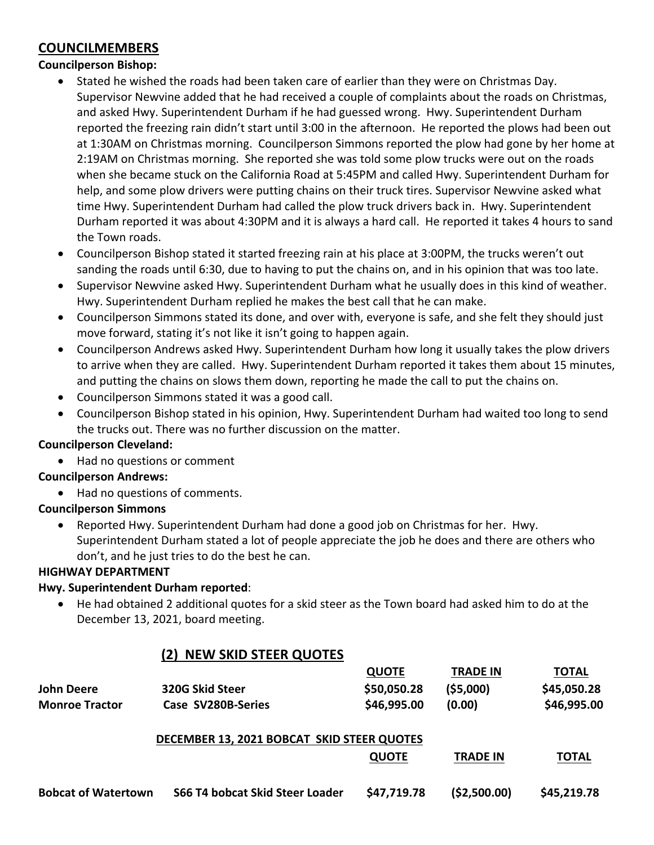### **COUNCILMEMBERS**

#### **Councilperson Bishop:**

- Stated he wished the roads had been taken care of earlier than they were on Christmas Day. Supervisor Newvine added that he had received a couple of complaints about the roads on Christmas, and asked Hwy. Superintendent Durham if he had guessed wrong. Hwy. Superintendent Durham reported the freezing rain didn't start until 3:00 in the afternoon. He reported the plows had been out at 1:30AM on Christmas morning. Councilperson Simmons reported the plow had gone by her home at 2:19AM on Christmas morning. She reported she was told some plow trucks were out on the roads when she became stuck on the California Road at 5:45PM and called Hwy. Superintendent Durham for help, and some plow drivers were putting chains on their truck tires. Supervisor Newvine asked what time Hwy. Superintendent Durham had called the plow truck drivers back in. Hwy. Superintendent Durham reported it was about 4:30PM and it is always a hard call. He reported it takes 4 hours to sand the Town roads.
- Councilperson Bishop stated it started freezing rain at his place at 3:00PM, the trucks weren't out sanding the roads until 6:30, due to having to put the chains on, and in his opinion that was too late.
- Supervisor Newvine asked Hwy. Superintendent Durham what he usually does in this kind of weather. Hwy. Superintendent Durham replied he makes the best call that he can make.
- Councilperson Simmons stated its done, and over with, everyone is safe, and she felt they should just move forward, stating it's not like it isn't going to happen again.
- Councilperson Andrews asked Hwy. Superintendent Durham how long it usually takes the plow drivers to arrive when they are called. Hwy. Superintendent Durham reported it takes them about 15 minutes, and putting the chains on slows them down, reporting he made the call to put the chains on.
- Councilperson Simmons stated it was a good call.
- Councilperson Bishop stated in his opinion, Hwy. Superintendent Durham had waited too long to send the trucks out. There was no further discussion on the matter.

#### **Councilperson Cleveland:**

• Had no questions or comment

#### **Councilperson Andrews:**

• Had no questions of comments.

#### **Councilperson Simmons**

• Reported Hwy. Superintendent Durham had done a good job on Christmas for her. Hwy. Superintendent Durham stated a lot of people appreciate the job he does and there are others who don't, and he just tries to do the best he can.

#### **HIGHWAY DEPARTMENT**

#### **Hwy. Superintendent Durham reported**:

• He had obtained 2 additional quotes for a skid steer as the Town board had asked him to do at the December 13, 2021, board meeting.

|                            | <b>NEW SKID STEER QUOTES</b><br>(2)        |              |                 |              |
|----------------------------|--------------------------------------------|--------------|-----------------|--------------|
|                            |                                            | <b>QUOTE</b> | <b>TRADE IN</b> | <b>TOTAL</b> |
| John Deere                 | 320G Skid Steer                            | \$50,050.28  | (55,000)        | \$45,050.28  |
| <b>Monroe Tractor</b>      | Case SV280B-Series                         | \$46,995.00  | (0.00)          | \$46,995.00  |
|                            | DECEMBER 13, 2021 BOBCAT SKID STEER QUOTES |              |                 |              |
|                            |                                            | <b>QUOTE</b> | <b>TRADE IN</b> | <b>TOTAL</b> |
| <b>Bobcat of Watertown</b> | <b>S66 T4 bobcat Skid Steer Loader</b>     | \$47,719.78  | (\$2,500.00)    | \$45,219.78  |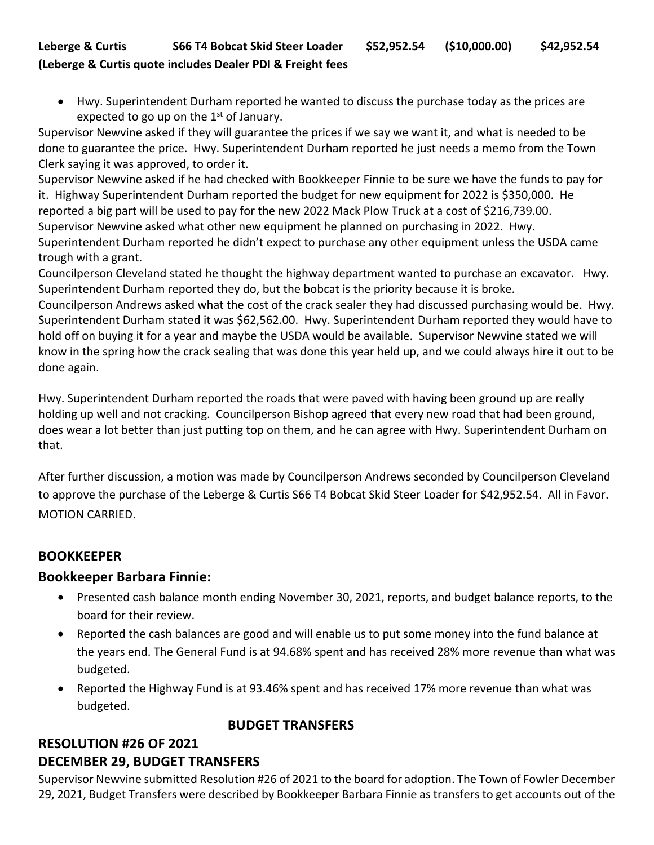### **Leberge & Curtis S66 T4 Bobcat Skid Steer Loader \$52,952.54 (\$10,000.00) \$42,952.54 (Leberge & Curtis quote includes Dealer PDI & Freight fees**

• Hwy. Superintendent Durham reported he wanted to discuss the purchase today as the prices are expected to go up on the  $1<sup>st</sup>$  of January.

Supervisor Newvine asked if they will guarantee the prices if we say we want it, and what is needed to be done to guarantee the price. Hwy. Superintendent Durham reported he just needs a memo from the Town Clerk saying it was approved, to order it.

Supervisor Newvine asked if he had checked with Bookkeeper Finnie to be sure we have the funds to pay for it. Highway Superintendent Durham reported the budget for new equipment for 2022 is \$350,000. He reported a big part will be used to pay for the new 2022 Mack Plow Truck at a cost of \$216,739.00. Supervisor Newvine asked what other new equipment he planned on purchasing in 2022. Hwy. Superintendent Durham reported he didn't expect to purchase any other equipment unless the USDA came trough with a grant.

Councilperson Cleveland stated he thought the highway department wanted to purchase an excavator. Hwy. Superintendent Durham reported they do, but the bobcat is the priority because it is broke.

Councilperson Andrews asked what the cost of the crack sealer they had discussed purchasing would be. Hwy. Superintendent Durham stated it was \$62,562.00. Hwy. Superintendent Durham reported they would have to hold off on buying it for a year and maybe the USDA would be available. Supervisor Newvine stated we will know in the spring how the crack sealing that was done this year held up, and we could always hire it out to be done again.

Hwy. Superintendent Durham reported the roads that were paved with having been ground up are really holding up well and not cracking. Councilperson Bishop agreed that every new road that had been ground, does wear a lot better than just putting top on them, and he can agree with Hwy. Superintendent Durham on that.

After further discussion, a motion was made by Councilperson Andrews seconded by Councilperson Cleveland to approve the purchase of the Leberge & Curtis S66 T4 Bobcat Skid Steer Loader for \$42,952.54. All in Favor. MOTION CARRIED.

### **BOOKKEEPER**

### **Bookkeeper Barbara Finnie:**

- Presented cash balance month ending November 30, 2021, reports, and budget balance reports, to the board for their review.
- Reported the cash balances are good and will enable us to put some money into the fund balance at the years end. The General Fund is at 94.68% spent and has received 28% more revenue than what was budgeted.
- Reported the Highway Fund is at 93.46% spent and has received 17% more revenue than what was budgeted.

**BUDGET TRANSFERS**

# **RESOLUTION #26 OF 2021 DECEMBER 29, BUDGET TRANSFERS**

Supervisor Newvine submitted Resolution #26 of 2021 to the board for adoption. The Town of Fowler December 29, 2021, Budget Transfers were described by Bookkeeper Barbara Finnie as transfers to get accounts out of the